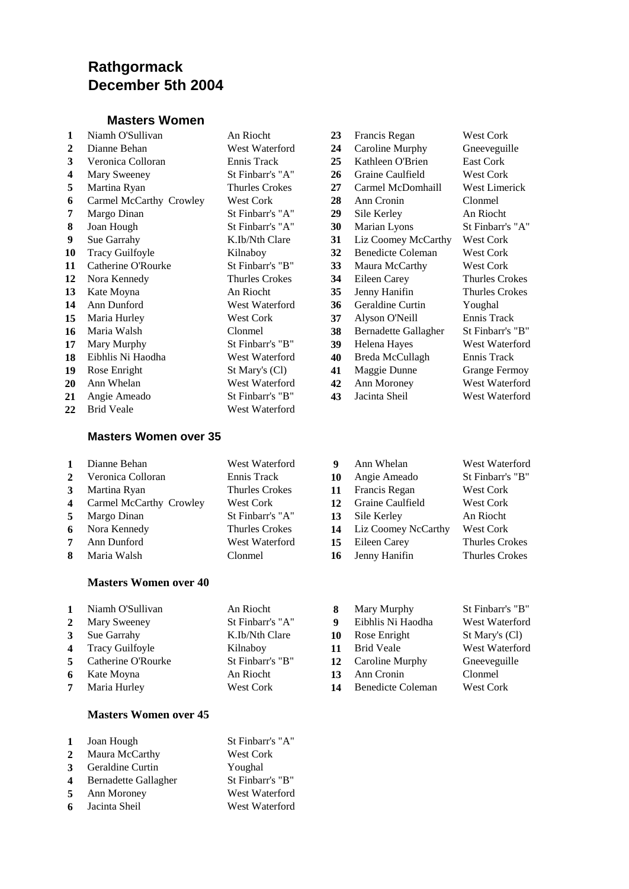# **Rathgormack December 5th 2004**

#### **Masters Women**

| $\mathbf{1}$ | Niamh O'Sullivan        | An Riocht        | 23 | Francis Regan               | West Cork            |
|--------------|-------------------------|------------------|----|-----------------------------|----------------------|
| $\mathbf{2}$ | Dianne Behan            | West Waterford   | 24 | Caroline Murphy             | Gneeveguille         |
| 3            | Veronica Colloran       | Ennis Track      | 25 | Kathleen O'Brien            | East Cork            |
| 4            | Mary Sweeney            | St Finbarr's "A" | 26 | Graine Caulfield            | <b>West Cork</b>     |
| 5            | Martina Ryan            | Thurles Crokes   | 27 | Carmel McDomhaill           | West Limerick        |
| 6            | Carmel McCarthy Crowley | <b>West Cork</b> | 28 | Ann Cronin                  | Clonmel              |
| 7            | Margo Dinan             | St Finbarr's "A" | 29 | Sile Kerley                 | An Riocht            |
| 8            | Joan Hough              | St Finbarr's "A" | 30 | Marian Lyons                | St Finbarr's "A"     |
| 9            | Sue Garrahy             | K.Ib/Nth Clare   | 31 | Liz Coomey McCarthy         | West Cork            |
| 10           | <b>Tracy Guilfoyle</b>  | Kilnaboy         | 32 | <b>Benedicte Coleman</b>    | <b>West Cork</b>     |
| 11           | Catherine O'Rourke      | St Finbarr's "B" | 33 | Maura McCarthy              | West Cork            |
| 12           | Nora Kennedy            | Thurles Crokes   | 34 | Eileen Carey                | Thurles Crokes       |
| 13           | Kate Moyna              | An Riocht        | 35 | Jenny Hanifin               | Thurles Crokes       |
| 14           | Ann Dunford             | West Waterford   | 36 | Geraldine Curtin            | Youghal              |
| 15           | Maria Hurley            | West Cork        | 37 | Alyson O'Neill              | Ennis Track          |
| 16           | Maria Walsh             | Clonmel          | 38 | <b>Bernadette Gallagher</b> | St Finbarr's "B"     |
| 17           | Mary Murphy             | St Finbarr's "B" | 39 | Helena Hayes                | West Waterford       |
| 18           | Eibhlis Ni Haodha       | West Waterford   | 40 | Breda McCullagh             | Ennis Track          |
| 19           | Rose Enright            | St Mary's (Cl)   | 41 | Maggie Dunne                | <b>Grange Fermoy</b> |
| <b>20</b>    | Ann Whelan              | West Waterford   | 42 | Ann Moroney                 | West Waterford       |
| 21           | Angie Ameado            | St Finbarr's "B" | 43 | Jacinta Sheil               | West Waterford       |
| 22           | <b>Brid Veale</b>       | West Waterford   |    |                             |                      |

#### **Masters Women over 35**

| 1            | Dianne Behan              | West Waterford        | 9  | Ann Whelan          | West Waterford        |
|--------------|---------------------------|-----------------------|----|---------------------|-----------------------|
| $\mathbf{2}$ | Veronica Colloran         | Ennis Track           | 10 | Angie Ameado        | St Finbarr's "B"      |
| 3            | Martina Ryan              | <b>Thurles Crokes</b> | 11 | Francis Regan       | <b>West Cork</b>      |
|              | 4 Carmel McCarthy Crowley | West Cork             | 12 | Graine Caulfield    | <b>West Cork</b>      |
| 5            | Margo Dinan               | St Finbarr's "A"      | 13 | Sile Kerley         | An Riocht             |
| 6            | Nora Kennedy              | <b>Thurles Crokes</b> | 14 | Liz Coomey NcCarthy | West Cork             |
| 7            | Ann Dunford               | West Waterford        | 15 | Eileen Carey        | <b>Thurles Crokes</b> |
| 8            | Maria Walsh               | Clonmel               | 16 | Jenny Hanifin       | <b>Thurles Crokes</b> |
|              |                           |                       |    |                     |                       |

| $\mathbf{1}$<br>$\mathbf{2}$ | Niamh O'Sullivan<br><b>Mary Sweeney</b> | An Riocht<br>St Finbarr's "A" | 8<br>q | Mary Murphy<br>Eibhlis Ni Haodha | St Finbarr's "B"<br>West Waterford |
|------------------------------|-----------------------------------------|-------------------------------|--------|----------------------------------|------------------------------------|
|                              | 3 Sue Garrahy                           | K.Ib/Nth Clare                |        | 10 Rose Enright                  | St Mary's (Cl)                     |
|                              | 4 Tracy Guilfoyle                       | Kilnaboy                      | 11     | <b>Brid Veale</b>                | West Waterford                     |
|                              | 5 Catherine O'Rourke                    | St Finbarr's "B"              |        | 12 Caroline Murphy               | Gneeveguille                       |
| 6                            | Kate Moyna                              | An Riocht                     | 13     | Ann Cronin                       | Clonmel                            |
| $7^{\circ}$                  | Maria Hurley                            | West Cork                     | 14     | Benedicte Coleman                | West Cork                          |

#### **Masters Women over 45**

**Masters Women over 40**

| $\bf{1}$     | Joan Hough                  | St Finbarr's "A" |
|--------------|-----------------------------|------------------|
| $\mathbf{2}$ | Maura McCarthy              | <b>West Cork</b> |
| 3            | Geraldine Curtin            | Youghal          |
| 4            | <b>Bernadette Gallagher</b> | St Finbarr's "B" |
| 5            | Ann Moroney                 | West Waterford   |
| 6            | Jacinta Sheil               | West Waterford   |

| 23 | Francis Regan               | <b>West Cork</b>      |
|----|-----------------------------|-----------------------|
| 24 | Caroline Murphy             | Gneeveguille          |
| 25 | Kathleen O'Brien            | <b>East Cork</b>      |
| 26 | Graine Caulfield            | <b>West Cork</b>      |
| 27 | Carmel McDomhaill           | <b>West Limerick</b>  |
| 28 | Ann Cronin                  | Clonmel               |
| 29 | Sile Kerley                 | An Riocht             |
| 30 | Marian Lyons                | St Finbarr's "A"      |
| 31 | Liz Coomey McCarthy         | <b>West Cork</b>      |
| 32 | <b>Benedicte Coleman</b>    | <b>West Cork</b>      |
| 33 | Maura McCarthy              | <b>West Cork</b>      |
| 34 | Eileen Carey                | <b>Thurles Crokes</b> |
| 35 | Jenny Hanifin               | <b>Thurles Crokes</b> |
| 36 | Geraldine Curtin            | Youghal               |
| 37 | Alyson O'Neill              | Ennis Track           |
| 38 | <b>Bernadette Gallagher</b> | St Finbarr's "B"      |
| 39 | Helena Hayes                | West Waterford        |
| 40 | Breda McCullagh             | Ennis Track           |
| 41 | Maggie Dunne                | <b>Grange Fermoy</b>  |
| 42 | Ann Moroney                 | West Waterford        |
| 43 | Jacinta Sheil               | West Waterford        |

| 0                       | Angie Ameado        | St Finbarr's "B"      |
|-------------------------|---------------------|-----------------------|
| .1                      | Francis Regan       | <b>West Cork</b>      |
| $\mathbf{2}$            | Graine Caulfield    | West Cork             |
| 3                       | Sile Kerley         | An Riocht             |
| $\overline{\mathbf{4}}$ | Liz Coomey NcCarthy | West Cork             |
| 5                       | Eileen Carey        | <b>Thurles Crokes</b> |
| 6                       | Jenny Hanifin       | <b>Thurles Crokes</b> |
|                         |                     |                       |
|                         |                     |                       |
|                         |                     |                       |

| Mary Murphy              | St Finbari |
|--------------------------|------------|
| Eibhlis Ni Haodha        | West Wat   |
| Rose Enright             | St Mary's  |
| <b>Brid Veale</b>        | West Wat   |
| Caroline Murphy          | Gneevegu   |
| Ann Cronin               | Clonmel    |
| <b>Benedicte Coleman</b> | West Cor   |
|                          |            |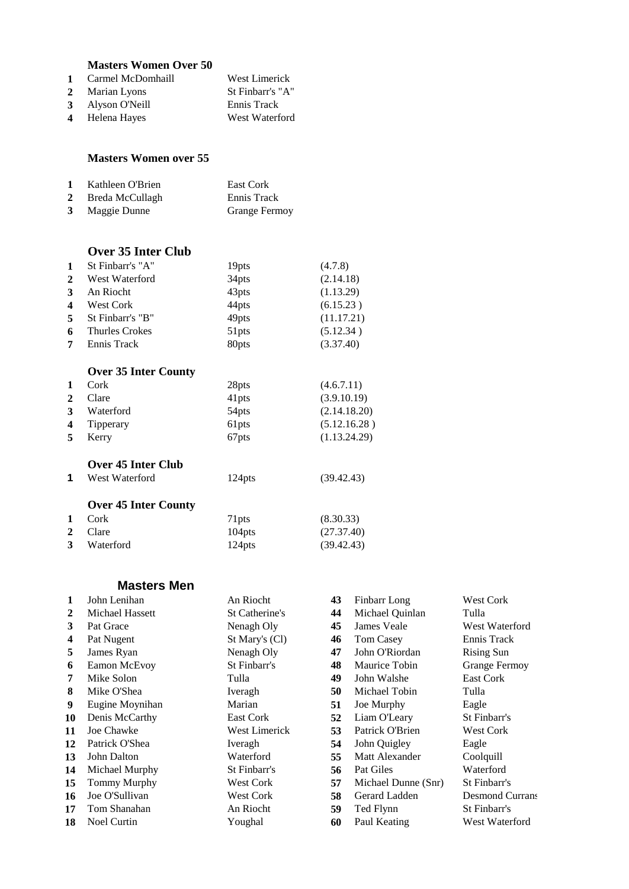## **Masters Women Over 50**

| 1 Carmel McDomhaill | West Limerick    |
|---------------------|------------------|
| 2 Marian Lyons      | St Finbarr's "A" |
| 3 Alyson O'Neill    | Ennis Track      |
| 4 Helena Hayes      | West Waterford   |

#### **Masters Women over 55**

|              | 1 Kathleen O'Brien | East Cork            |
|--------------|--------------------|----------------------|
| $\mathbf{2}$ | Breda McCullagh    | Ennis Track          |
|              | 3 Maggie Dunne     | <b>Grange Fermoy</b> |

### **Over 35 Inter Club**

| $\mathbf 1$           | St Finbarr's "A" | 19 <sub>pts</sub> | (4.7.8)    |
|-----------------------|------------------|-------------------|------------|
| $\mathbf{2}$          | West Waterford   | 34 <sub>pts</sub> | (2.14.18)  |
| 3                     | An Riocht        | 43pts             | (1.13.29)  |
| $\boldsymbol{\Delta}$ | <b>West Cork</b> | 44pts             | (6.15.23)  |
| 5                     | St Finbarr's "B" | 49pts             | (11.17.21) |
| 6                     | Thurles Crokes   | 51pts             | (5.12.34)  |
| 7                     | Ennis Track      | 80pts             | (3.37.40)  |
|                       |                  |                   |            |

## **Over 35 Inter County**

|                         | OVEL JJ HItel County        |                    |              |
|-------------------------|-----------------------------|--------------------|--------------|
| 1                       | Cork                        | 28 <sub>pts</sub>  | (4.6.7.11)   |
| 2                       | Clare                       | 41pts              | (3.9.10.19)  |
| 3                       | Waterford                   | 54 <sub>pts</sub>  | (2.14.18.20) |
| $\overline{\mathbf{4}}$ | Tipperary                   | 61 <sub>pts</sub>  | (5.12.16.28) |
| 5                       | Kerry                       | 67pts              | (1.13.24.29) |
|                         | Over 45 Inter Club          |                    |              |
| 1                       | West Waterford              | 124 <sub>pts</sub> | (39.42.43)   |
|                         | <b>Over 45 Inter County</b> |                    |              |
| $\mathbf{1}$            | Cork                        | 71 <sub>pts</sub>  | (8.30.33)    |
| 2                       | Clare                       | 104pts             | (27.37.40)   |
| 3                       | Waterford                   | 124pts             | (39.42.43)   |
|                         |                             |                    |              |

#### **Masters Men**

| 1            | John Lenihan       | An Riocht             | 43 | Finbarr Long        | <b>West Cork</b>       |
|--------------|--------------------|-----------------------|----|---------------------|------------------------|
| $\mathbf{2}$ | Michael Hassett    | <b>St Catherine's</b> | 44 | Michael Quinlan     | Tulla                  |
| 3            | Pat Grace          | Nenagh Oly            | 45 | James Veale         | West Waterford         |
| 4            | Pat Nugent         | St Mary's (Cl)        | 46 | Tom Casey           | Ennis Track            |
| 5            | James Ryan         | Nenagh Oly            | 47 | John O'Riordan      | <b>Rising Sun</b>      |
| 6            | Eamon McEvoy       | St Finbarr's          | 48 | Maurice Tobin       | <b>Grange Fermoy</b>   |
| 7            | Mike Solon         | Tulla                 | 49 | John Walshe         | East Cork              |
| 8            | Mike O'Shea        | Iveragh               | 50 | Michael Tobin       | Tulla                  |
| 9            | Eugine Moynihan    | Marian                | 51 | Joe Murphy          | Eagle                  |
| 10           | Denis McCarthy     | East Cork             | 52 | Liam O'Leary        | St Finbarr's           |
| 11           | Joe Chawke         | <b>West Limerick</b>  | 53 | Patrick O'Brien     | <b>West Cork</b>       |
| 12           | Patrick O'Shea     | Iveragh               | 54 | John Quigley        | Eagle                  |
| 13           | John Dalton        | Waterford             | 55 | Matt Alexander      | Coolquill              |
| 14           | Michael Murphy     | St Finbarr's          | 56 | Pat Giles           | Waterford              |
| 15           | Tommy Murphy       | <b>West Cork</b>      | 57 | Michael Dunne (Snr) | St Finbarr's           |
| 16           | Joe O'Sullivan     | <b>West Cork</b>      | 58 | Gerard Ladden       | <b>Desmond Currans</b> |
| 17           | Tom Shanahan       | An Riocht             | 59 | Ted Flynn           | St Finbarr's           |
| 18           | <b>Noel Curtin</b> | Youghal               | 60 | Paul Keating        | West Waterford         |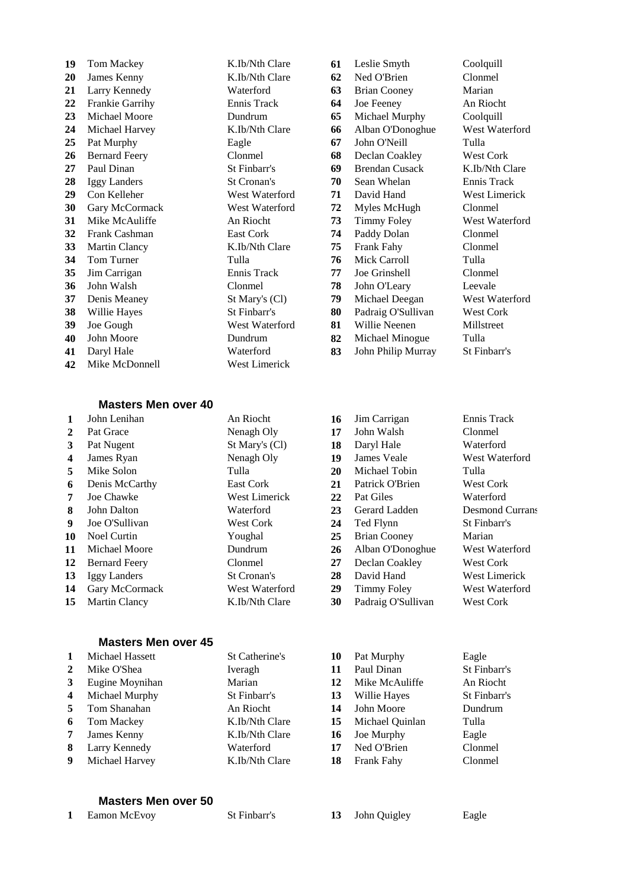| 19 | Tom Mackey           | K.Ib/Nth Clare | 61 | Leslie Smyth          | Coolquill         |
|----|----------------------|----------------|----|-----------------------|-------------------|
| 20 | James Kenny          | K.Ib/Nth Clare | 62 | Ned O'Brien           | Clonmel           |
| 21 | Larry Kennedy        | Waterford      | 63 | <b>Brian Cooney</b>   | Marian            |
| 22 | Frankie Garrihy      | Ennis Track    | 64 | Joe Feeney            | An Riocht         |
| 23 | Michael Moore        | Dundrum        | 65 | Michael Murphy        | Coolquill         |
| 24 | Michael Harvey       | K.Ib/Nth Clare | 66 | Alban O'Donoghue      | West Wate         |
| 25 | Pat Murphy           | Eagle          | 67 | John O'Neill          | Tulla             |
| 26 | <b>Bernard Feery</b> | Clonmel        | 68 | Declan Coakley        | West Corl         |
| 27 | Paul Dinan           | St Finbarr's   | 69 | <b>Brendan Cusack</b> | K.Ib/Nth 0        |
| 28 | Iggy Landers         | St Cronan's    | 70 | Sean Whelan           | Ennis Tra         |
| 29 | Con Kelleher         | West Waterford | 71 | David Hand            | West Lime         |
| 30 | Gary McCormack       | West Waterford | 72 | Myles McHugh          | Clonmel           |
| 31 | Mike McAuliffe       | An Riocht      | 73 | <b>Timmy Foley</b>    | West Wate         |
| 32 | Frank Cashman        | East Cork      | 74 | Paddy Dolan           | Clonmel           |
| 33 | <b>Martin Clancy</b> | K.Ib/Nth Clare | 75 | Frank Fahy            | Clonmel           |
| 34 | Tom Turner           | Tulla          | 76 | Mick Carroll          | Tulla             |
| 35 | Jim Carrigan         | Ennis Track    | 77 | Joe Grinshell         | Clonmel           |
| 36 | John Walsh           | Clonmel        | 78 | John O'Leary          | Leevale           |
| 37 | Denis Meaney         | St Mary's (Cl) | 79 | Michael Deegan        | West Wate         |
| 38 | Willie Hayes         | St Finbarr's   | 80 | Padraig O'Sullivan    | West Corl         |
| 39 | Joe Gough            | West Waterford | 81 | Willie Neenen         | Millstreet        |
| 40 | John Moore           | Dundrum        | 82 | Michael Minogue       | Tulla             |
| 41 | Daryl Hale           | Waterford      | 83 | John Philip Murray    | <b>St Finbarr</b> |
| 42 | Mike McDonnell       | West Limerick  |    |                       |                   |

#### **19** Tom Machenson **61** Leslie Smyth Coolquill **2** Ned O'Brien Clonmel<br> **20** Ned O'Brien Clonmel<br> **63** Brian Cooney Marian Larry Kennedy Waterford **63** Brian Cooney Marian **23 23 23 23 23 65** Michael Murphy Coolquill **24** The Clare **66** Alban O'Donoghue West Waterford **25** John O'Neill Tulla **2008 68** Declan Coakley West Cork Paul Dinan St Finbarr's **69** Brendan Cusack K.Ib/Nth Clare Iggy Landers St Cronan's **70** Sean Whelan Ennis Track <sup>7</sup> Vaterford **71** David Hand West Limerick Vaterford **72** Myles McHugh Clonmel<br> **73** Timmy Foley West Waterford **21** Timmy Foley **74** Paddy Dolan Clonmel **33** The Clare **75** Frank Fahy Clonmel Mick Carroll Tulla Frack **77** Joe Grinshell Clonmel John O'Leary Leevale <sup>'s</sup> (Cl) **79** Michael Deegan West Waterford Padraig O'Sullivan West Cork Vaterford **81** Willie Neenen Millstreet **400 Michael Minogue Tulla 121 83** John Philip Murray St Finbarr's

#### **Masters Men over 40**

| 1  | John Lenihan         | An Riocht          | 16 | Jim Carrigan        | Ennis Track            |
|----|----------------------|--------------------|----|---------------------|------------------------|
| 2  | Pat Grace            | Nenagh Oly         | 17 | John Walsh          | Clonmel                |
| 3  | Pat Nugent           | St Mary's (Cl)     | 18 | Daryl Hale          | Waterford              |
| 4  | James Ryan           | Nenagh Oly         | 19 | James Veale         | West Waterford         |
| 5  | Mike Solon           | Tulla              | 20 | Michael Tobin       | Tulla                  |
| 6  | Denis McCarthy       | East Cork          | 21 | Patrick O'Brien     | <b>West Cork</b>       |
| 7  | Joe Chawke           | West Limerick      | 22 | Pat Giles           | Waterford              |
| 8  | John Dalton          | Waterford          | 23 | Gerard Ladden       | <b>Desmond Currans</b> |
| 9  | Joe O'Sullivan       | <b>West Cork</b>   | 24 | Ted Flynn           | St Finbarr's           |
| 10 | Noel Curtin          | Youghal            | 25 | <b>Brian Cooney</b> | Marian                 |
| 11 | Michael Moore        | Dundrum            | 26 | Alban O'Donoghue    | West Waterford         |
| 12 | <b>Bernard Feery</b> | Clonmel            | 27 | Declan Coakley      | <b>West Cork</b>       |
| 13 | Iggy Landers         | <b>St Cronan's</b> | 28 | David Hand          | West Limerick          |
| 14 | Gary McCormack       | West Waterford     | 29 | Timmy Foley         | West Waterford         |
| 15 | <b>Martin Clancy</b> | K.Ib/Nth Clare     | 30 | Padraig O'Sullivan  | <b>West Cork</b>       |

#### **Masters Men over 45**

| 1              | Michael Hassett | St Catherine's | 10 | Pat Murphy      | Eagle        |
|----------------|-----------------|----------------|----|-----------------|--------------|
| 2              | Mike O'Shea     | Iveragh        | 11 | Paul Dinan      | St Finbarr's |
| 3              | Eugine Moynihan | Marian         | 12 | Mike McAuliffe  | An Riocht    |
| $\overline{4}$ | Michael Murphy  | St Finbarr's   | 13 | Willie Hayes    | St Finbarr's |
| 5.             | Tom Shanahan    | An Riocht      | 14 | John Moore      | Dundrum      |
| 6              | Tom Mackey      | K.Ib/Nth Clare | 15 | Michael Quinlan | Tulla        |
| 7              | James Kenny     | K.Ib/Nth Clare | 16 | Joe Murphy      | Eagle        |
| 8              | Larry Kennedy   | Waterford      | 17 | Ned O'Brien     | Clonmel      |
| 9              | Michael Harvey  | K.Ib/Nth Clare | 18 | Frank Fahy      | Clonmel      |

#### **Masters Men over 50**

Eamon McEvoy St Finbarr's **13** John Quigley Eagle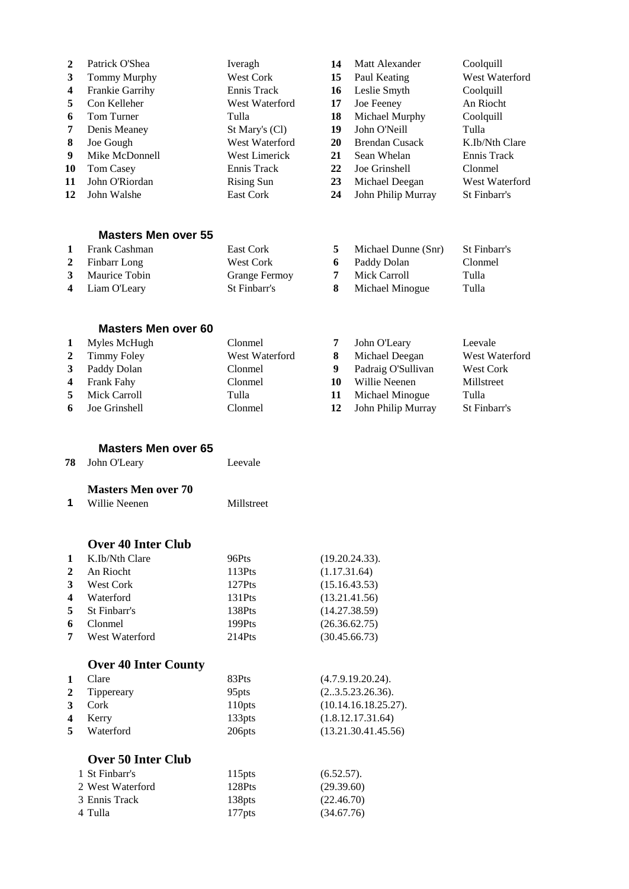| $\mathbf{2}$ | Patrick O'Shea             | Iveragh        | 14 | Matt Alexander        | Coolquill      |
|--------------|----------------------------|----------------|----|-----------------------|----------------|
| 3            | Tommy Murphy               | West Cork      | 15 | Paul Keating          | West Waterford |
| 4            | Frankie Garrihy            | Ennis Track    | 16 | Leslie Smyth          | Coolquill      |
| 5            | Con Kelleher               | West Waterford | 17 | Joe Feeney            | An Riocht      |
| 6            | Tom Turner                 | Tulla          | 18 | Michael Murphy        | Coolquill      |
| 7            | Denis Meaney               | St Mary's (Cl) | 19 | John O'Neill          | Tulla          |
| 8            | Joe Gough                  | West Waterford | 20 | <b>Brendan Cusack</b> | K.Ib/Nth Clare |
| 9            | Mike McDonnell             | West Limerick  | 21 | Sean Whelan           | Ennis Track    |
| 10           | Tom Casey                  | Ennis Track    | 22 | Joe Grinshell         | Clonmel        |
| 11           | John O'Riordan             | Rising Sun     | 23 | Michael Deegan        | West Waterford |
| 12           | John Walshe                | East Cork      | 24 | John Philip Murray    | St Finbarr's   |
|              | <b>Masters Men over 55</b> |                |    |                       |                |
| $\mathbf{1}$ | Frank Cashman              | East Cork      | 5  | Michael Dunne (Snr)   | St Finbarr's   |
| 2            | Finbarr Long               | West Cork      | 6  | Paddy Dolan           | Clonmel        |

| Frank Cashman   | <b>East Cork</b>     | Michael Dunne (Snr) | St Finbarr's |
|-----------------|----------------------|---------------------|--------------|
| 2 Finbarr Long  | West Cork            | Paddy Dolan         | Clonmel      |
| 3 Maurice Tobin | <b>Grange Fermoy</b> | Mick Carroll        | Tulla        |
| 4 Liam O'Leary  | St Finbarr's         | Michael Minogue     | Tulla        |

### **Masters Men over 60**

| $\mathbf{1}$   | Myles McHugh           | Clonmel        |    | John O'Leary       | Leevale          |
|----------------|------------------------|----------------|----|--------------------|------------------|
|                | 2 Timmy Foley          | West Waterford |    | Michael Deegan     | West Waterford   |
| $\mathbf{3}$   | Paddy Dolan            | Clonmel        | 9  | Padraig O'Sullivan | <b>West Cork</b> |
|                | 4 Frank Fahy           | Clonmel        | 10 | Willie Neenen      | Millstreet       |
| 5 <sup>1</sup> | Mick Carroll           | Tulla          | 11 | Michael Minogue    | Tulla            |
|                | <b>6</b> Joe Grinshell | Clonmel        | 12 | John Philip Murray | St Finbarr's     |

| <b>Masters Men over 65</b> |  |  |  |
|----------------------------|--|--|--|
|----------------------------|--|--|--|

|    | <b>78</b> John O'Leary | Leevale    |
|----|------------------------|------------|
|    | Masters Men over 70    |            |
| -1 | Willie Neenen          | Millstreet |

## **Over 40 Inter Club**

| $\mathbf{1}$     | K.Ib/Nth Clare   | 96Pts     | (19.20.24.33). |
|------------------|------------------|-----------|----------------|
| $\overline{2}$   | An Riocht        | $113P$ ts | (1.17.31.64)   |
| 3                | <b>West Cork</b> | 127Pts    | (15.16.43.53)  |
| $\boldsymbol{4}$ | Waterford        | $131P$ ts | (13.21.41.56)  |
|                  | 5 St Finbarr's   | 138Pts    | (14.27.38.59)  |
| 6                | Clonmel          | 199Pts    | (26.36.62.75)  |
| 7                | West Waterford   | $214P$ ts | (30.45.66.73)  |

## **Over 40 Inter County**

| 1            | Clare                     | 83Pts              | (4.7.9.19.20.24).    |
|--------------|---------------------------|--------------------|----------------------|
| $\mathbf{2}$ | Tippereary                | 95 <sub>pts</sub>  | (2.3.5.23.26.36).    |
| 3            | Cork                      | 110pts             | (10.14.16.18.25.27). |
| 4            | Kerry                     | 133 <sub>pts</sub> | (1.8.12.17.31.64)    |
| 5            | Waterford                 | 206pts             | (13.21.30.41.45.56)  |
|              | <b>Over 50 Inter Club</b> |                    |                      |
|              | 1 St Finbarr's            | $115$ pts          | (6.52.57).           |
|              | 2 West Waterford          | 128Pts             | (29.39.60)           |

 Ennis Track 138pts (22.46.70) Tulla 177pts (34.67.76)